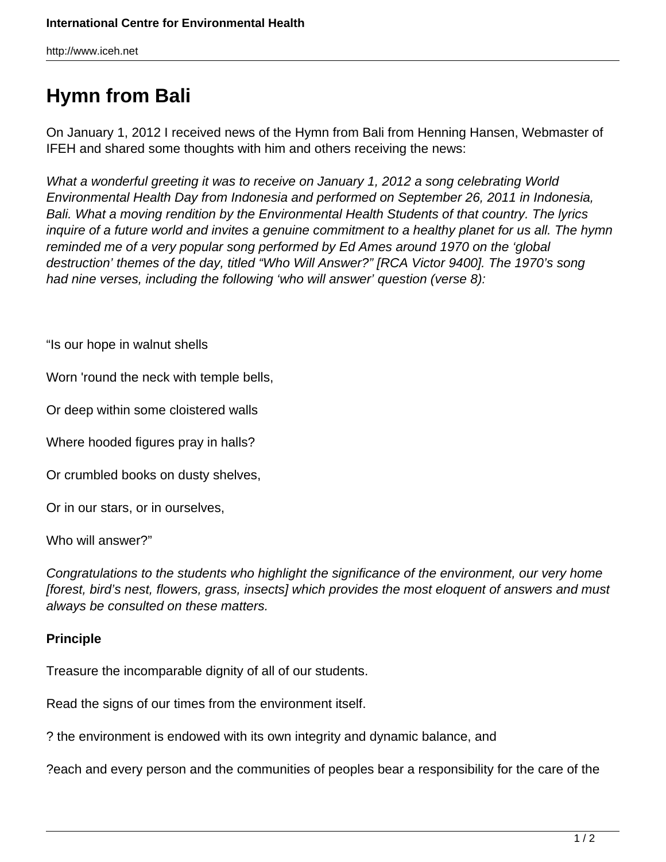http://www.iceh.net

## **Hymn from Bali**

On January 1, 2012 I received news of the Hymn from Bali from Henning Hansen, Webmaster of IFEH and shared some thoughts with him and others receiving the news:

What a wonderful greeting it was to receive on January 1, 2012 a song celebrating World Environmental Health Day from Indonesia and performed on September 26, 2011 in Indonesia, Bali. What a moving rendition by the Environmental Health Students of that country. The lyrics inquire of a future world and invites a genuine commitment to a healthy planet for us all. The hymn reminded me of a very popular song performed by Ed Ames around 1970 on the 'global destruction' themes of the day, titled "Who Will Answer?" [RCA Victor 9400]. The 1970's song had nine verses, including the following 'who will answer' question (verse 8):

"Is our hope in walnut shells

Worn 'round the neck with temple bells,

Or deep within some cloistered walls

Where hooded figures pray in halls?

Or crumbled books on dusty shelves,

Or in our stars, or in ourselves,

Who will answer?"

Congratulations to the students who highlight the significance of the environment, our very home [forest, bird's nest, flowers, grass, insects] which provides the most eloquent of answers and must always be consulted on these matters.

## **Principle**

Treasure the incomparable dignity of all of our students.

Read the signs of our times from the environment itself.

? the environment is endowed with its own integrity and dynamic balance, and

?each and every person and the communities of peoples bear a responsibility for the care of the